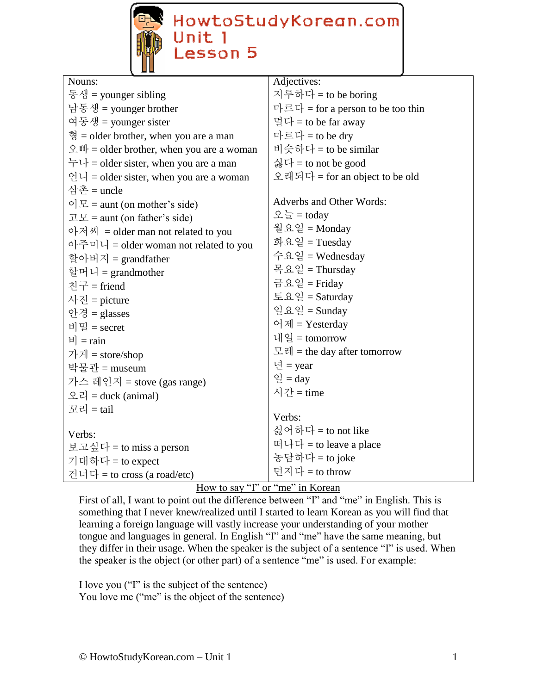

HowtoStudyKorean.com<br>Unit 1<br>Lesson 5

| Adjectives:                       |
|-----------------------------------|
| 지루하다 = to be boring               |
| 마르다 = for a person to be too thin |
| 멀다 = to be far away               |
| 마르다 = to be dry                   |
| 비슷하다 = to be similar              |
| 싫다 = to not be good               |
| 오래되다 = for an object to be old    |
|                                   |
| Adverbs and Other Words:          |
| 오늘 = today                        |
| 월요일 = Monday                      |
| 화요일 = Tuesday                     |
| 수요일 = Wednesday                   |
| 목요일 = Thursday                    |
| 금요일 = Friday                      |
| 토요일 = Saturday                    |
| 일요일 = Sunday                      |
| 어제 = Yesterday                    |
| 내일 = tomorrow                     |
| 모레 = the day after tomorrow       |
| 년 = year                          |
| 일 = day                           |
| 시간 = time                         |
|                                   |
| Verbs:                            |
| 싫어하다 = to not like                |
| 떠나다 = to leave a place            |
| 농담하다 = to joke                    |
| 던지다 = to throw                    |
|                                   |

# How to say "I" or "me" in Korean

First of all, I want to point out the difference between "I" and "me" in English. This is something that I never knew/realized until I started to learn Korean as you will find that learning a foreign language will vastly increase your understanding of your mother tongue and languages in general. In English "I" and "me" have the same meaning, but they differ in their usage. When the speaker is the subject of a sentence "I" is used. When the speaker is the object (or other part) of a sentence "me" is used. For example:

I love you ("I" is the subject of the sentence) You love me ("me" is the object of the sentence)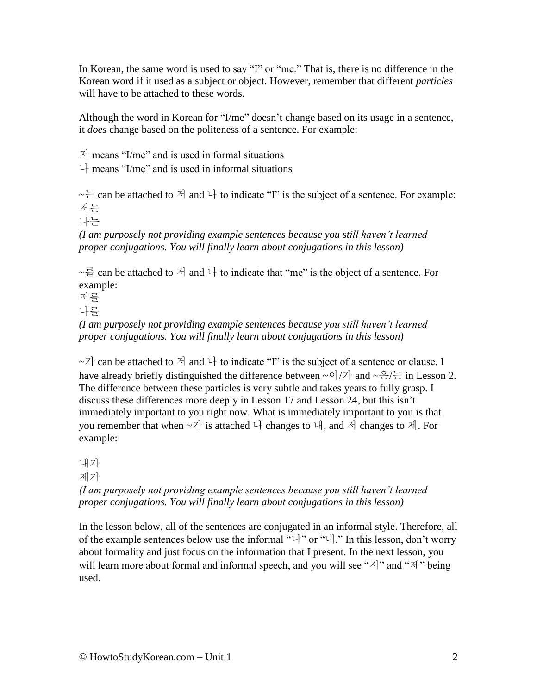In Korean, the same word is used to say "I" or "me." That is, there is no difference in the Korean word if it used as a subject or object. However, remember that different *particles*  will have to be attached to these words.

Although the word in Korean for "I/me" doesn't change based on its usage in a sentence, it *does* change based on the politeness of a sentence. For example:

 $\vec{A}$  means "I/me" and is used in formal situations

 $\downarrow$  means "I/me" and is used in informal situations

 $\sim \frac{1}{x}$  can be attached to  $\sim$  and  $\downarrow$  to indicate "I" is the subject of a sentence. For example: 저는

나는

*(I am purposely not providing example sentences because you still haven't learned proper conjugations. You will finally learn about conjugations in this lesson)*

 $\sim \frac{3}{5}$  can be attached to  $\frac{3}{4}$  and  $\frac{1}{4}$  to indicate that "me" is the object of a sentence. For example:

저를

나를

*(I am purposely not providing example sentences because you still haven't learned proper conjugations. You will finally learn about conjugations in this lesson)*

 $\sim$  7 can be attached to  $\sim$  and  $\downarrow$  to indicate "I" is the subject of a sentence or clause. I have already briefly distinguished the difference between  $\sim$   $\frac{1}{7}$  and  $\sim \frac{1}{2}$  in Lesson 2. The difference between these particles is very subtle and takes years to fully grasp. I discuss these differences more deeply in Lesson 17 and Lesson 24, but this isn't immediately important to you right now. What is immediately important to you is that you remember that when  $-7$  is attached  $+$  changes to  $+$ , and  $+$  changes to  $+$ , For example:

내가

제가

*(I am purposely not providing example sentences because you still haven't learned proper conjugations. You will finally learn about conjugations in this lesson)*

In the lesson below, all of the sentences are conjugated in an informal style. Therefore, all of the example sentences below use the informal "나" or "내." In this lesson, don't worry about formality and just focus on the information that I present. In the next lesson, you will learn more about formal and informal speech, and you will see " $\forall$ ]" and " $\forall$ ]" being used.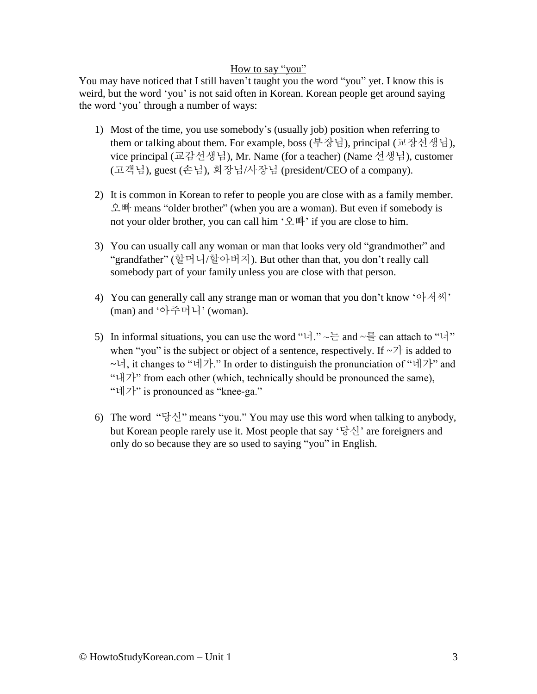#### How to say "you"

You may have noticed that I still haven't taught you the word "you" yet. I know this is weird, but the word 'you' is not said often in Korean. Korean people get around saying the word 'you' through a number of ways:

- 1) Most of the time, you use somebody's (usually job) position when referring to them or talking about them. For example, boss (부장님), principal (교장선생님), vice principal (교감선생님), Mr. Name (for a teacher) (Name 선생님), customer (고객님), guest (손님), 회장님/사장님 (president/CEO of a company).
- 2) It is common in Korean to refer to people you are close with as a family member. 오빠 means "older brother" (when you are a woman). But even if somebody is not your older brother, you can call him '오빠' if you are close to him.
- 3) You can usually call any woman or man that looks very old "grandmother" and "grandfather" (할머니/할아버지). But other than that, you don't really call somebody part of your family unless you are close with that person.
- 4) You can generally call any strange man or woman that you don't know '아저씨' (man) and '아주머니' (woman).
- 5) In informal situations, you can use the word "너."  $\sim \frac{L}{L}$  and  $\sim \frac{3}{5}$  can attach to "너" when "you" is the subject or object of a sentence, respectively. If  $\sim$  7 is added to ~너, it changes to "네가." In order to distinguish the pronunciation of "네가" and "내가" from each other (which, technically should be pronounced the same), "네가" is pronounced as "knee-ga."
- 6) The word "당신" means "you." You may use this word when talking to anybody, but Korean people rarely use it. Most people that say '당신' are foreigners and only do so because they are so used to saying "you" in English.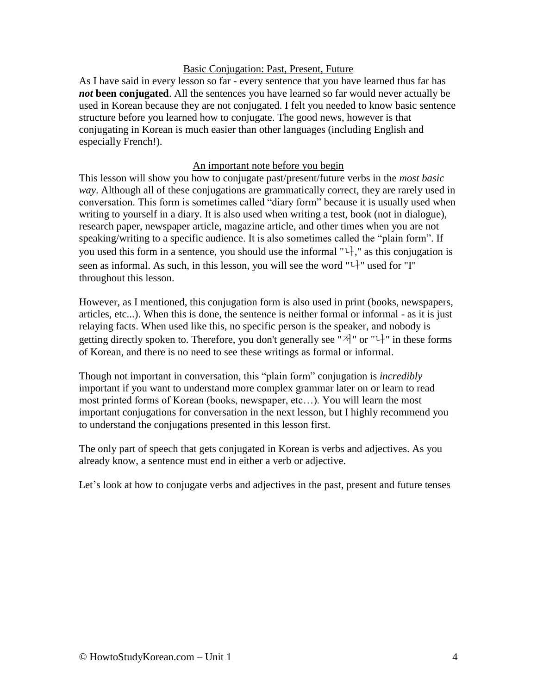#### Basic Conjugation: Past, Present, Future

As I have said in every lesson so far - every sentence that you have learned thus far has *not* **been conjugated**. All the sentences you have learned so far would never actually be used in Korean because they are not conjugated. I felt you needed to know basic sentence structure before you learned how to conjugate. The good news, however is that conjugating in Korean is much easier than other languages (including English and especially French!).

### An important note before you begin

This lesson will show you how to conjugate past/present/future verbs in the *most basic way*. Although all of these conjugations are grammatically correct, they are rarely used in conversation. This form is sometimes called "diary form" because it is usually used when writing to yourself in a diary. It is also used when writing a test, book (not in dialogue), research paper, newspaper article, magazine article, and other times when you are not speaking/writing to a specific audience. It is also sometimes called the "plain form". If you used this form in a sentence, you should use the informal " $\downarrow$ ", as this conjugation is seen as informal. As such, in this lesson, you will see the word " $\vdash$ " used for "I" throughout this lesson.

However, as I mentioned, this conjugation form is also used in print (books, newspapers, articles, etc...). When this is done, the sentence is neither formal or informal - as it is just relaying facts. When used like this, no specific person is the speaker, and nobody is getting directly spoken to. Therefore, you don't generally see "저" or "나" in these forms of Korean, and there is no need to see these writings as formal or informal.

Though not important in conversation, this "plain form" conjugation is *incredibly* important if you want to understand more complex grammar later on or learn to read most printed forms of Korean (books, newspaper, etc…). You will learn the most important conjugations for conversation in the next lesson, but I highly recommend you to understand the conjugations presented in this lesson first.

The only part of speech that gets conjugated in Korean is verbs and adjectives. As you already know, a sentence must end in either a verb or adjective.

Let's look at how to conjugate verbs and adjectives in the past, present and future tenses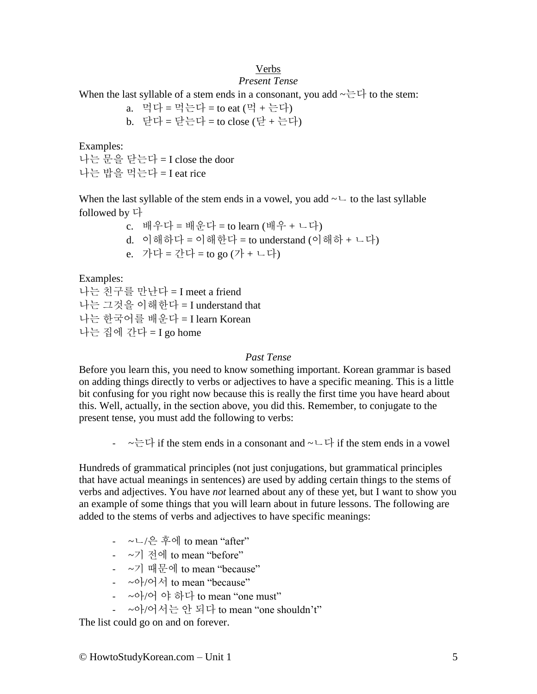## Verbs

### *Present Tense*

When the last syllable of a stem ends in a consonant, you add  $\sim \leftarrow \leftarrow$  to the stem:

a. 먹다 = 먹는다 = to eat (먹 + 는다) b. 닫다 = 닫는다 = to close (닫 + 는다)

Examples:

나는 문을 닫는다 = I close the door 나는 밥을 먹는다 = I eat rice

When the last syllable of the stem ends in a vowel, you add  $\sim\sim$  to the last syllable followed by 다

c. 배우다 = 배운다 = to learn (배우 + ㄴ다) d. 이해하다 = 이해한다 = to understand (이해하 + ㄴ다) e. 가다 = 간다 = to go (가 + ㄴ다)

Examples:

나는 친구를 만난다 = I meet a friend 나는 그것을 이해한다 = I understand that 나는 한국어를 배운다 = I learn Korean 나는 집에 간다 = I go home

#### *Past Tense*

Before you learn this, you need to know something important. Korean grammar is based on adding things directly to verbs or adjectives to have a specific meaning. This is a little bit confusing for you right now because this is really the first time you have heard about this. Well, actually, in the section above, you did this. Remember, to conjugate to the present tense, you must add the following to verbs:

 $-\sim \pm 1$  if the stem ends in a consonant and  $\sim \perp 1$  if the stem ends in a vowel

Hundreds of grammatical principles (not just conjugations, but grammatical principles that have actual meanings in sentences) are used by adding certain things to the stems of verbs and adjectives. You have *not* learned about any of these yet, but I want to show you an example of some things that you will learn about in future lessons. The following are added to the stems of verbs and adjectives to have specific meanings:

- ~ㄴ/은 후에 to mean "after"
- ~기 전에 to mean "before"
- ~기 때문에 to mean "because"
- $\sim$  아/어서 to mean "because"
- ~아/어 야 하다 to mean "one must"
- ~아/어서는 안 되다 to mean "one shouldn't"

The list could go on and on forever.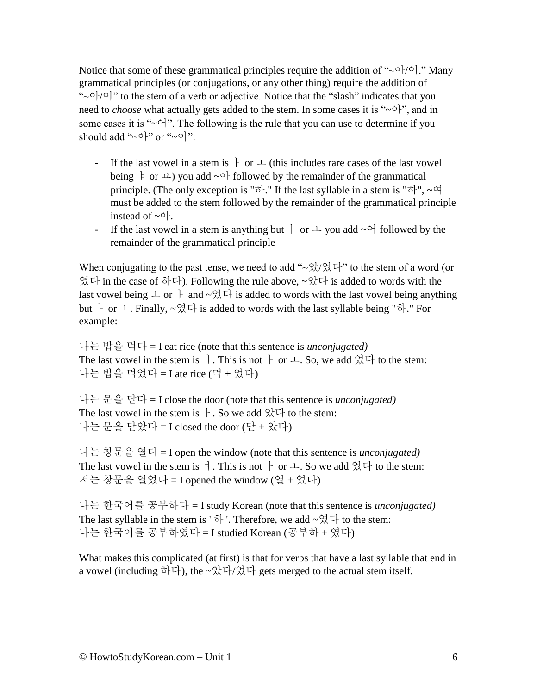Notice that some of these grammatical principles require the addition of " $\sim$   $\circ$ }/ $\circ$ ]." Many grammatical principles (or conjugations, or any other thing) require the addition of " $\sim$   $\circ$ }/ $\circ$ }" to the stem of a verb or adjective. Notice that the "slash" indicates that you need to *choose* what actually gets added to the stem. In some cases it is " $\sim$ <sup>\*</sup>", and in some cases it is " $\sim$ 어". The following is the rule that you can use to determine if you should add "~아" or "~어":

- If the last vowel in a stem is  $\vdash$  or  $\bot$  (this includes rare cases of the last vowel being  $\frac{1}{2}$  or  $\frac{1}{2}$  you add  $\sim$  of followed by the remainder of the grammatical principle. (The only exception is "하." If the last syllable in a stem is "하", ~여 must be added to the stem followed by the remainder of the grammatical principle instead of  $\sim$ 아.
- If the last vowel in a stem is anything but  $\dagger$  or  $\perp$  you add ~어 followed by the remainder of the grammatical principle

When conjugating to the past tense, we need to add " $\sim$  \called \called \called \called \called \called \called \called \called \called \called \called \called \called \called \called \called \called \called \called \cal 였다 in the case of 하다). Following the rule above, ~았다 is added to words with the last vowel being  $\perp$  or  $\parallel$  and  $\sim \frac{Q}{Q} \downarrow \frac{1}{V}$  is added to words with the last vowel being anything but  $\vdash$  or  $\bot$ . Finally,  $\sim$ 였다 is added to words with the last syllable being "하." For example:

나는 밥을 먹다 = I eat rice (note that this sentence is *unconjugated)* The last vowel in the stem is  $\dagger$ . This is not  $\dagger$  or  $\perp$ . So, we add 었다 to the stem: 나는 밥을 먹었다 = I ate rice (먹 + 었다)

나는 문을 닫다 = I close the door (note that this sentence is *unconjugated)* The last vowel in the stem is  $\cdot$ . So we add  $\frac{1}{2}$  to the stem: 나는 문을 닫았다 = I closed the door (닫 + 았다)

나는 창문을 열다 = I open the window (note that this sentence is *unconjugated)* The last vowel in the stem is  $\exists$ . This is not  $\dag$  or  $\bot$ . So we add  $\Im \forall$  to the stem: 저는 창문을 열었다 = I opened the window (열 + 었다)

나는 한국어를 공부하다 = I study Korean (note that this sentence is *unconjugated)* The last syllable in the stem is "하". Therefore, we add  $\sim$ 였다 to the stem: 나는 한국어를 공부하였다 = I studied Korean (공부하 + 였다)

What makes this complicated (at first) is that for verbs that have a last syllable that end in a vowel (including 하다), the  $\sim$ 았다/었다 gets merged to the actual stem itself.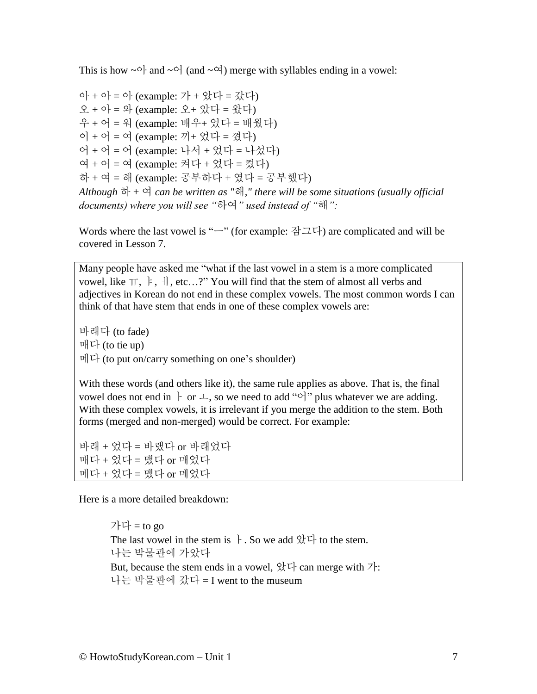This is how  $\sim$   $\circ$  and  $\sim$   $\circ$  (and  $\sim$   $\circ$ ) merge with syllables ending in a vowel:

아 + 아 = 아 (example: 가 + 았다 = 갔다) 오 + 아 = 와 (example: 오+ 았다 = 왔다) 우 + 어 = 워 (example: 배우+ 었다 = 배웠다) 이 + 어 = 여 (example: 끼+ 었다 = 꼈다) 어 + 어 = 어 (example: 나서 + 었다 = 나섰다) 여 + 어 = 여 (example: 켜다 + 었다 = 켰다) 하 + 여 = 해 (example: 공부하다 + 였다 = 공부했다) *Although* 하 + 여 *can be written as "*해*," there will be some situations (usually official documents) where you will see "*하여*" used instead of "*해*":*

Words where the last vowel is " $-$ " (for example: 잠그다) are complicated and will be covered in Lesson 7.

Many people have asked me "what if the last vowel in a stem is a more complicated vowel, like  $\pi$ ,  $\dagger$ ,  $\dagger$ ,  $\dagger$ , etc...?" You will find that the stem of almost all verbs and adjectives in Korean do not end in these complex vowels. The most common words I can think of that have stem that ends in one of these complex vowels are:

바래다 (to fade) 매다 (to tie up) 메다 (to put on/carry something on one's shoulder)

With these words (and others like it), the same rule applies as above. That is, the final vowel does not end in  $\vdash$  or  $\bot$ , so we need to add "o" plus whatever we are adding. With these complex vowels, it is irrelevant if you merge the addition to the stem. Both forms (merged and non-merged) would be correct. For example:

바래 + 었다 = 바랬다 or 바래었다 매다 + 었다 = 맸다 or 매었다 메다 + 었다 = 멨다 or 메었다

Here is a more detailed breakdown:

가다 = to go The last vowel in the stem is  $\cdot$ . So we add 았다 to the stem. 나는 박물관에 가았다 But, because the stem ends in a vowel,  $\&$   $\forall$  can merge with  $\forall$  : 나는 박물관에 갔다 = I went to the museum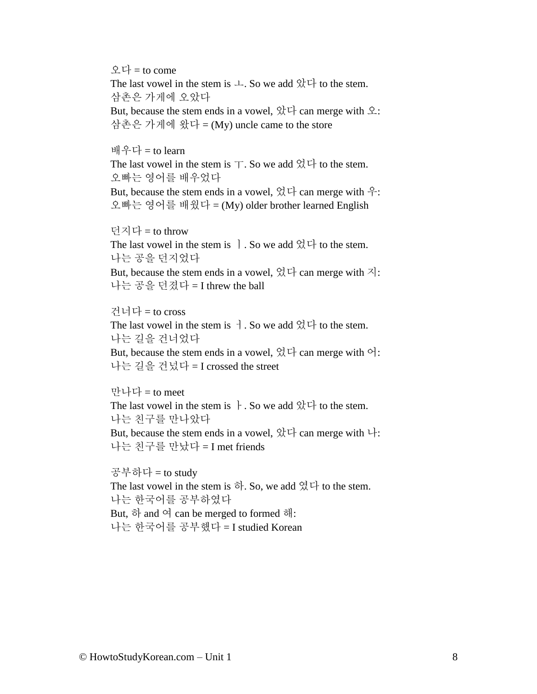오다 = to come

The last vowel in the stem is  $\perp$ . So we add  $\Im \perp$  to the stem. 삼촌은 가게에 오았다

But, because the stem ends in a vowel,  $\&\forall$  can merge with  $\&$ : 삼촌은 가게에 왔다 = (My) uncle came to the store

배우다 = to learn

The last vowel in the stem is  $\top$ . So we add  $\Im \top$  to the stem. 오빠는 영어를 배우었다

But, because the stem ends in a vowel,  $\Im \vec{\nabla}$  can merge with  $\hat{\vec{\nabla}}$ : 오빠는 영어를 배웠다 = (My) older brother learned English

던지다 = to throw

The last vowel in the stem is  $\cdot$ . So we add  $\mathfrak{A} \forall$  to the stem. 나는 공을 던지었다

But, because the stem ends in a vowel,  $\frac{\partial}{\partial x}$   $\Box$  can merge with  $\Box$ : 나는 공을 던졌다 = I threw the ball

건너다 = to cross

The last vowel in the stem is ㅓ. So we add 었다 to the stem. 나는 길을 건너었다

But, because the stem ends in a vowel,  $\partial_x^1 \vec{v}$  can merge with  $\vec{v}$ : 나는 길을 건넜다 = I crossed the street

만나다 = to meet The last vowel in the stem is  $\cdot$ . So we add  $\&\forall$  to the stem. 나는 친구를 만나았다 But, because the stem ends in a vowel,  $\mathcal{X} \forall$  can merge with  $\forall$ :

나는 친구를 만났다 = I met friends

공부하다 = to study The last vowel in the stem is  $\vec{\sigma}$ . So, we add 였다 to the stem. 나는 한국어를 공부하였다 But, 하 and 여 can be merged to formed 해: 나는 한국어를 공부했다 = I studied Korean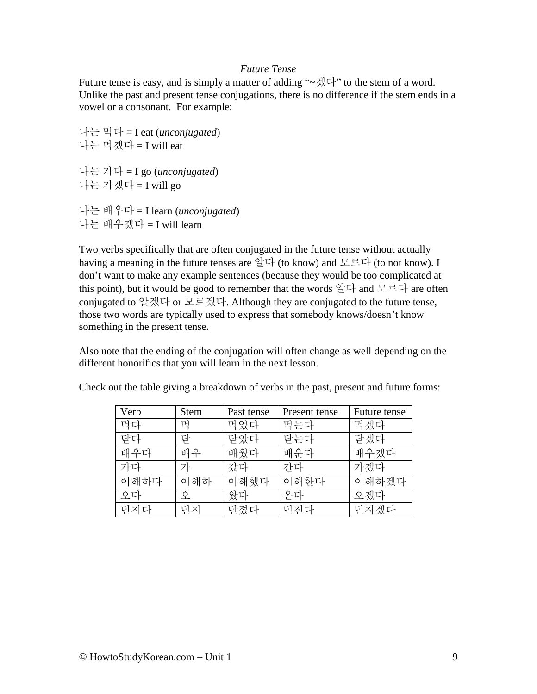#### *Future Tense*

Future tense is easy, and is simply a matter of adding " $\sim \frac{1}{\sqrt{2}}$ " to the stem of a word. Unlike the past and present tense conjugations, there is no difference if the stem ends in a vowel or a consonant. For example:

나는 먹다 = I eat (*unconjugated*) 나는 먹겠다 = I will eat 나는 가다 = I go (*unconjugated*) 나는 가겠다 = I will go

나는 배우다 = I learn (*unconjugated*) 나는 배우겠다 = I will learn

Two verbs specifically that are often conjugated in the future tense without actually having a meaning in the future tenses are 알다 (to know) and 모르다 (to not know). I don't want to make any example sentences (because they would be too complicated at this point), but it would be good to remember that the words 알다 and 모르다 are often conjugated to 알겠다 or 모르겠다. Although they are conjugated to the future tense, those two words are typically used to express that somebody knows/doesn't know something in the present tense.

Also note that the ending of the conjugation will often change as well depending on the different honorifics that you will learn in the next lesson.

| Verb | <b>Stem</b> | Past tense | Present tense | Future tense |
|------|-------------|------------|---------------|--------------|
| 먹다   | 먹           | 먹었다        | 먹는다           | 먹겠다          |
| 닫다   | 닫           | 닫았다        | 닫는다           | 닫겠다          |
| 배우다  | 배우          | 배웠다        | 배운다           | 배우겠다         |
| 가다   | 가           | 갔다         | 간다            | 가겠다          |
| 이해하다 | 이해하         | 이해했다       | 이해한다          | 이해하겠다        |
| 오다   | 오           | 왔다         | 온다            | 오겠다          |
| 던지다  | 던지          | 던졌다        | 던지다           | 던지겠다         |

Check out the table giving a breakdown of verbs in the past, present and future forms: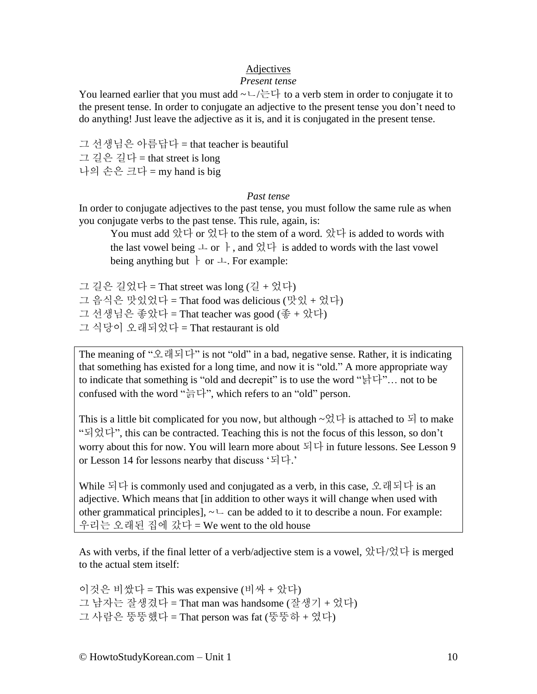### Adjectives

#### *Present tense*

You learned earlier that you must add  $\sim\Box/\equiv\Box$  to a verb stem in order to conjugate it to the present tense. In order to conjugate an adjective to the present tense you don't need to do anything! Just leave the adjective as it is, and it is conjugated in the present tense.

그 선생님은 아름답다 = that teacher is beautiful 그 길은 길다 = that street is long 나의 손은 크다 = my hand is big

#### *Past tense*

In order to conjugate adjectives to the past tense, you must follow the same rule as when you conjugate verbs to the past tense. This rule, again, is:

You must add 았다 or 었다 to the stem of a word. 았다 is added to words with the last vowel being  $\perp$  or  $\dagger$ , and  $\Im \nabla \cdot$  is added to words with the last vowel being anything but  $\vdash$  or  $\perp$ . For example:

그 길은 길었다 = That street was long (길 + 었다)

그 음식은 맛있었다 = That food was delicious (맛있 + 었다)

그 선생님은 좋았다 = That teacher was good (좋 + 았다)

그 식당이 오래되었다 = That restaurant is old

The meaning of "오래되다" is not "old" in a bad, negative sense. Rather, it is indicating that something has existed for a long time, and now it is "old." A more appropriate way to indicate that something is "old and decrepit" is to use the word "낡다"… not to be confused with the word "늙다", which refers to an "old" person.

This is a little bit complicated for you now, but although  $\sim \frac{O(1)}{N}$  is attached to  $\frac{1}{N}$  to make "되었다", this can be contracted. Teaching this is not the focus of this lesson, so don't worry about this for now. You will learn more about 되다 in future lessons. See Lesson 9 or Lesson 14 for lessons nearby that discuss '되다.'

While 되다 is commonly used and conjugated as a verb, in this case, 오래되다 is an adjective. Which means that [in addition to other ways it will change when used with other grammatical principles],  $\sim \sim$  can be added to it to describe a noun. For example: 우리는 오래된 집에 갔다 = We went to the old house

As with verbs, if the final letter of a verb/adjective stem is a vowel, 았다/었다 is merged to the actual stem itself:

이것은 비쌌다 = This was expensive (비싸 + 았다) 그 남자는 잘생겼다 = That man was handsome (잘생기 + 었다) 그 사람은 뚱뚱했다 = That person was fat (뚱뚱하 + 였다)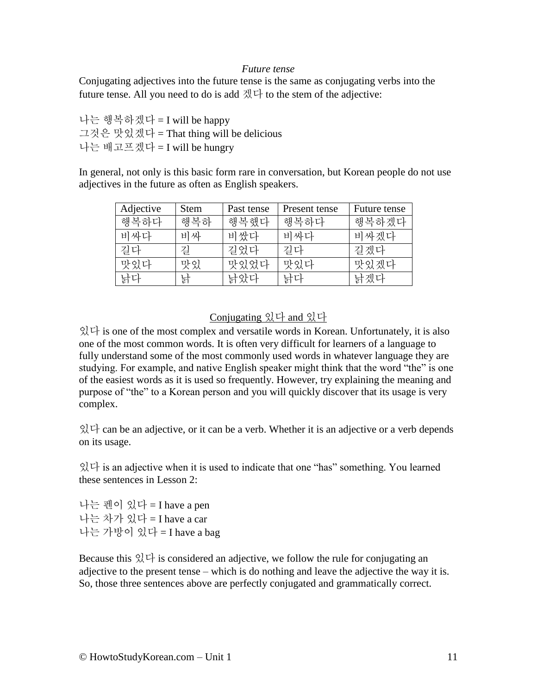#### *Future tense*

Conjugating adjectives into the future tense is the same as conjugating verbs into the future tense. All you need to do is add  $\exists \forall x \forall x$  to the stem of the adjective:

나는 행복하겠다 = I will be happy 그것은 맛있겠다 = That thing will be delicious 나는 배고프겠다 = I will be hungry

In general, not only is this basic form rare in conversation, but Korean people do not use adjectives in the future as often as English speakers.

| Adjective | <b>Stem</b> | Past tense | Present tense | Future tense |
|-----------|-------------|------------|---------------|--------------|
| 행복하다      | 행복하         | 행복했다       | 행복하다          | 행복하겠다        |
| 비싸다       | 비싸          | 비쌌다        | 비싸다           | 비싸겠다         |
| 길다        | 깊           | 길었다        | 길다            | 길겠다          |
| 맛있다       | 맛있          | 맛있었다       | 맛있다           | 맛있겠다         |
| 낡다        | 낡           | 낡았다        | 낡다            | 낡겠다          |

# Conjugating 있다 and 있다

있다 is one of the most complex and versatile words in Korean. Unfortunately, it is also one of the most common words. It is often very difficult for learners of a language to fully understand some of the most commonly used words in whatever language they are studying. For example, and native English speaker might think that the word "the" is one of the easiest words as it is used so frequently. However, try explaining the meaning and purpose of "the" to a Korean person and you will quickly discover that its usage is very complex.

있다 can be an adjective, or it can be a verb. Whether it is an adjective or a verb depends on its usage.

있다 is an adjective when it is used to indicate that one "has" something. You learned these sentences in Lesson 2:

나는 펜이 있다 = I have a pen 나는 차가 있다 = I have a car 나는 가방이 있다 = I have a bag

Because this  $\frac{1}{2}$   $\forall$  is considered an adjective, we follow the rule for conjugating an adjective to the present tense – which is do nothing and leave the adjective the way it is. So, those three sentences above are perfectly conjugated and grammatically correct.